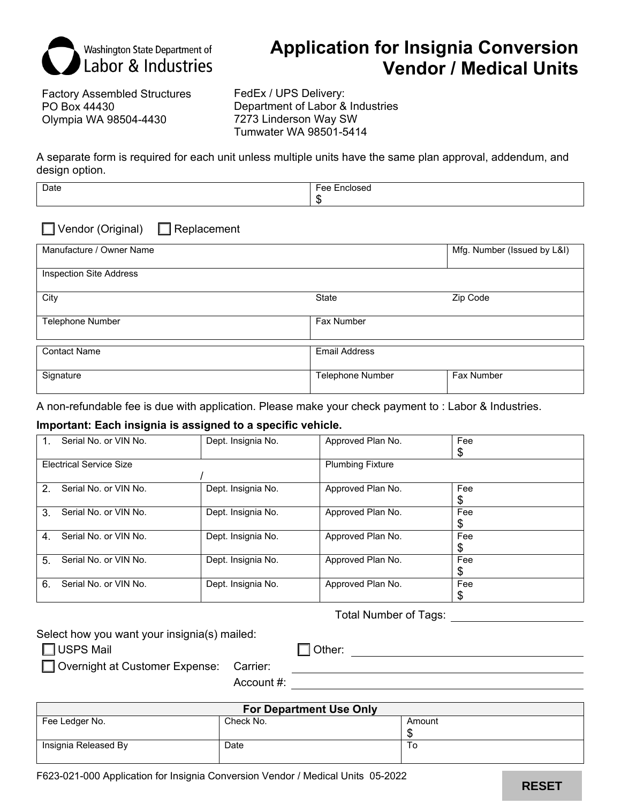

# **Application for Insignia Conversion Vendor / Medical Units**

Factory Assembled Structures PO Box 44430 Olympia WA 98504-4430

FedEx / UPS Delivery: Department of Labor & Industries 7273 Linderson Way SW Tumwater WA 98501-5414

A separate form is required for each unit unless multiple units have the same plan approval, addendum, and design option.

| Date |     |
|------|-----|
|      | . . |

Vendor (Original) Replacement

| Manufacture / Owner Name       |                      | Mfg. Number (Issued by L&I) |
|--------------------------------|----------------------|-----------------------------|
| <b>Inspection Site Address</b> |                      |                             |
| City                           | State                | Zip Code                    |
| Telephone Number               | <b>Fax Number</b>    |                             |
| <b>Contact Name</b>            | <b>Email Address</b> |                             |
| Signature                      | Telephone Number     | Fax Number                  |

A non-refundable fee is due with application. Please make your check payment to : Labor & Industries.

### **Important: Each insignia is assigned to a specific vehicle.**

| Serial No. or VIN No.<br>1.             | Dept. Insignia No. | Approved Plan No.       | Fee |
|-----------------------------------------|--------------------|-------------------------|-----|
|                                         |                    |                         | \$  |
| <b>Electrical Service Size</b>          |                    | <b>Plumbing Fixture</b> |     |
|                                         |                    |                         |     |
| Serial No. or VIN No.<br>2 <sub>1</sub> | Dept. Insignia No. | Approved Plan No.       | Fee |
|                                         |                    |                         | \$  |
| 3.<br>Serial No. or VIN No.             | Dept. Insignia No. | Approved Plan No.       | Fee |
|                                         |                    |                         | S   |
| Serial No. or VIN No.<br>4 <sup>1</sup> | Dept. Insignia No. | Approved Plan No.       | Fee |
|                                         |                    |                         | \$  |
| Serial No. or VIN No.<br>5.             | Dept. Insignia No. | Approved Plan No.       | Fee |
|                                         |                    |                         | \$  |
| Serial No. or VIN No.<br>6.             | Dept. Insignia No. | Approved Plan No.       | Fee |
|                                         |                    |                         | \$  |

Total Number of Tags:

Select how you want your insignia(s) mailed:

USPS Mail Contract Contract Contract Contract Contract Contract Contract Contract Contract Contract Contract Contract Contract Contract Contract Contract Contract Contract Contract Contract Contract Contract Contract Contr

Overnight at Customer Expense: Carrier:

Account #:

| <b>For Department Use Only</b> |           |        |
|--------------------------------|-----------|--------|
| Fee Ledger No.                 | Check No. | Amount |
|                                |           |        |
| Insignia Released By           | Date      | 10     |
|                                |           |        |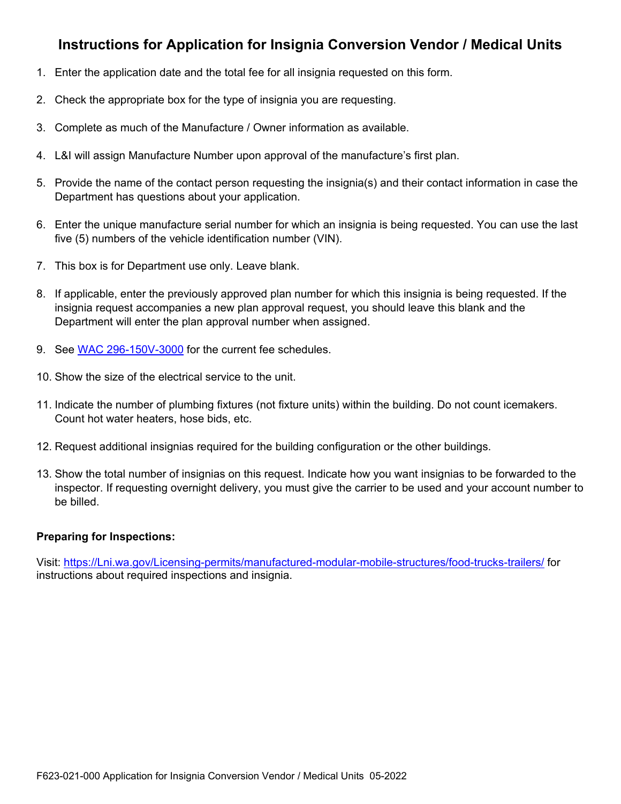## **Instructions for Application for Insignia Conversion Vendor / Medical Units**

- 1. Enter the application date and the total fee for all insignia requested on this form.
- 2. Check the appropriate box for the type of insignia you are requesting.
- 3. Complete as much of the Manufacture / Owner information as available.
- 4. L&I will assign Manufacture Number upon approval of the manufacture's first plan.
- 5. Provide the name of the contact person requesting the insignia(s) and their contact information in case the Department has questions about your application.
- 6. Enter the unique manufacture serial number for which an insignia is being requested. You can use the last five (5) numbers of the vehicle identification number (VIN).
- 7. This box is for Department use only. Leave blank.
- 8. If applicable, enter the previously approved plan number for which this insignia is being requested. If the insignia request accompanies a new plan approval request, you should leave this blank and the Department will enter the plan approval number when assigned.
- 9. See [WAC 296-150V-3000](https://app.leg.wa.gov/WAC/default.aspx?cite=296-150V-3000) for the current fee schedules.
- 10. Show the size of the electrical service to the unit.
- 11. Indicate the number of plumbing fixtures (not fixture units) within the building. Do not count icemakers. Count hot water heaters, hose bids, etc.
- 12. Request additional insignias required for the building configuration or the other buildings.
- 13. Show the total number of insignias on this request. Indicate how you want insignias to be forwarded to the inspector. If requesting overnight delivery, you must give the carrier to be used and your account number to be billed.

### **Preparing for Inspections:**

Visit: [https://Lni.wa.gov/Licensing-permits/manufactured-modular-mobile-structures/food-trucks-trailers/](https://gcc02.safelinks.protection.outlook.com/?url=https%3A%2F%2Flni.wa.gov%2Flicensing-permits%2Fmanufactured-modular-mobile-structures%2Ffood-trucks-trailers%2F&data=05%7C01%7Cskib235%40LNI.WA.GOV%7C0e2435185d79461ba29608da38de67f5%7C11d0e217264e400a8ba057dcc127d72d%7C0%7C0%7C637884825118836092%7CUnknown%7CTWFpbGZsb3d8eyJWIjoiMC4wLjAwMDAiLCJQIjoiV2luMzIiLCJBTiI6Ik1haWwiLCJXVCI6Mn0%3D%7C3000%7C%7C%7C&sdata=EdwL6sxt4XsmazrSiwpFccxLSeN3NypLBsgwBm9Ngrg%3D&reserved=0) for instructions about required inspections and insignia.